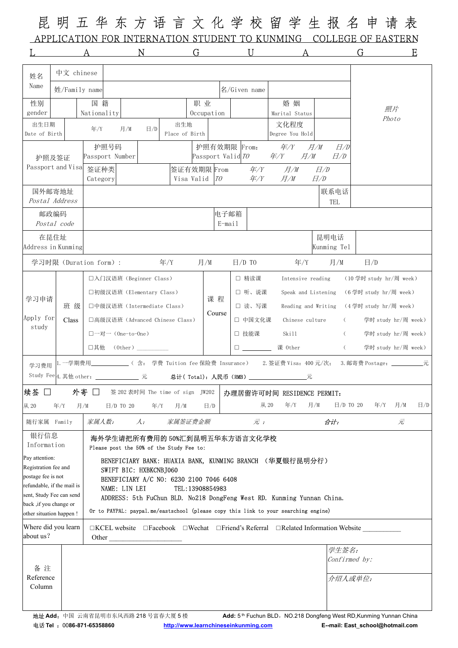昆 明 五 华 东 方 语 言 文 化 学 校 留 学 生 报 名 申 请 表 APPLICATION FOR INTERNATION STUDENT TO KUNMING COLLEGE OF EASTERN L A N G U A G E

| 姓名                                                                                                              | 中文 chinese    |                                                                                                          |                                          |                                                                                     |                                                     |                     |                      |                                                     |                         |                 |                         |                      |                                                                                                                  |     |          |
|-----------------------------------------------------------------------------------------------------------------|---------------|----------------------------------------------------------------------------------------------------------|------------------------------------------|-------------------------------------------------------------------------------------|-----------------------------------------------------|---------------------|----------------------|-----------------------------------------------------|-------------------------|-----------------|-------------------------|----------------------|------------------------------------------------------------------------------------------------------------------|-----|----------|
| Name                                                                                                            | 姓/Family name |                                                                                                          |                                          |                                                                                     | 名/Given name                                        |                     |                      |                                                     |                         |                 |                         |                      |                                                                                                                  |     |          |
| 性别                                                                                                              |               | 国籍                                                                                                       | 职业                                       |                                                                                     |                                                     |                     | 婚姻<br>Marital Status |                                                     |                         |                 |                         |                      |                                                                                                                  |     |          |
| gender                                                                                                          |               | Nationality                                                                                              | Occupation                               |                                                                                     |                                                     |                     |                      |                                                     |                         |                 |                         | 照片<br>Photo          |                                                                                                                  |     |          |
| 出生日期<br>Date of Birth                                                                                           |               | 年/Y                                                                                                      | 出生地<br>$\Box/D$<br>月/M<br>Place of Birth |                                                                                     |                                                     |                     |                      |                                                     | 文化程度<br>Degree You Hold |                 |                         |                      |                                                                                                                  |     |          |
|                                                                                                                 |               | 护照号码                                                                                                     |                                          |                                                                                     |                                                     |                     | 护照有效期限  From:        |                                                     | #/Y                     |                 | 月/M                     | H/D                  |                                                                                                                  |     |          |
| 护照及签证<br>Passport and Visa                                                                                      |               | Passport Number                                                                                          |                                          |                                                                                     |                                                     | Passport Valid $TO$ |                      |                                                     | E/Y                     | 月/M             |                         | E/D                  |                                                                                                                  |     |          |
|                                                                                                                 |               | 签证种类<br>Category                                                                                         |                                          | Visa Valid <i>TO</i>                                                                |                                                     |                     |                      |                                                     | $E/F$ $E/M$             |                 | E/D<br>E/D              |                      |                                                                                                                  |     |          |
| 国外邮寄地址                                                                                                          |               |                                                                                                          |                                          |                                                                                     |                                                     |                     |                      |                                                     |                         |                 | 联系电话                    |                      |                                                                                                                  |     |          |
| Postal Address                                                                                                  |               | TEL                                                                                                      |                                          |                                                                                     |                                                     |                     |                      |                                                     |                         |                 |                         |                      |                                                                                                                  |     |          |
| 邮政编码                                                                                                            | Postal code   | 电子邮箱<br>E-mail                                                                                           |                                          |                                                                                     |                                                     |                     |                      |                                                     |                         |                 |                         |                      |                                                                                                                  |     |          |
| 在昆住址<br>Address in Kunming                                                                                      |               |                                                                                                          |                                          |                                                                                     |                                                     |                     |                      |                                                     |                         |                 | 昆明电话<br>Kunming Tel     |                      |                                                                                                                  |     |          |
| 年/Y<br>月/M<br>学习时限 (Duration form) :                                                                            |               |                                                                                                          |                                          |                                                                                     |                                                     |                     | $E/D$ TO             |                                                     |                         | 年/Y             | 月/M                     |                      | $\Box/D$                                                                                                         |     |          |
|                                                                                                                 |               | □入门汉语班 (Beginner Class)                                                                                  |                                          |                                                                                     |                                                     | □ 精读课               |                      | Intensive reading                                   |                         |                 | (10 学时 study hr/周 week) |                      |                                                                                                                  |     |          |
| 学习申请<br>Apply for<br>study                                                                                      |               | □初级汉语班(Elementary Class)                                                                                 |                                          | 课 程                                                                                 | □ 听、说课<br>Speak and Listening (6学时 study hr/周 week) |                     |                      |                                                     |                         |                 |                         |                      |                                                                                                                  |     |          |
|                                                                                                                 | 班 级           |                                                                                                          | □中级汉语班(Intermediate Class)               |                                                                                     |                                                     |                     |                      | □ 读、写课<br>Reading and Writing (4学时 study hr/周 week) |                         |                 |                         |                      |                                                                                                                  |     |          |
|                                                                                                                 | Class         | □高级汉语班(Advanced Chinese Class)<br>□一对一 (One-to-One)                                                      |                                          |                                                                                     |                                                     | Course              |                      | □ 中国文化课                                             |                         | Chinese culture |                         | $\left($             | 学时 study hr/周 week)                                                                                              |     |          |
|                                                                                                                 |               |                                                                                                          |                                          |                                                                                     |                                                     |                     |                      | □ 技能课                                               | Skill                   |                 | $\left($                |                      | 学时 study hr/周 week)                                                                                              |     |          |
|                                                                                                                 |               | □其他 (0ther)_____                                                                                         |                                          |                                                                                     |                                                     |                     |                      |                                                     | □ _________ 课 0ther     |                 |                         |                      | (学时 study hr/周 week)                                                                                             |     |          |
| 学习费用                                                                                                            |               | 1.一学期费用_______________( 含: 学费 Tuition fee 保险费 Insurance)  2.签证费 Visa:400 元/次; 3.邮寄费 Postage:___________元 |                                          |                                                                                     |                                                     |                     |                      |                                                     |                         |                 |                         |                      |                                                                                                                  |     |          |
|                                                                                                                 |               | Study Fee 4. 其他 other: ______________ 元 <b>总计 ( Total): 人民币 (RMB)</b> __________________元                |                                          |                                                                                     |                                                     |                     |                      |                                                     |                         |                 |                         |                      |                                                                                                                  |     |          |
| 续签 □                                                                                                            |               | 外寄 □                                                                                                     |                                          | 签 202 表时间 The time of sign JW202   办理居留许可时间 RESIDENCE PERMIT:                       |                                                     |                     |                      |                                                     |                         |                 |                         |                      |                                                                                                                  |     |          |
| 从 20                                                                                                            | 年/Y           | 日/D TO 20<br>月/M                                                                                         | 年/Y                                      | 月/M                                                                                 | $\Box/D$                                            |                     |                      | 从 20                                                | 年/Y                     | 月/M             |                         | $\boxminus$ /D TO 20 | 年 $/Y$                                                                                                           | 月/M | $\Box/D$ |
| 随行家属 Family                                                                                                     |               | 家属人数:                                                                                                    | 家属签证费金额                                  | $\bar{\pi}$ ;                                                                       |                                                     |                     |                      |                                                     |                         | 合计:<br>元        |                         |                      |                                                                                                                  |     |          |
| 银行信息<br>海外学生请把所有费用的 50%汇到昆明五华东方语言文化学校<br>Information<br>Please post the 50% of the Study Fee to:                |               |                                                                                                          |                                          |                                                                                     |                                                     |                     |                      |                                                     |                         |                 |                         |                      |                                                                                                                  |     |          |
| Pay attention:<br>BENEFICIARY BANK: HUAXIA BANK, KUNMING BRANCH (华夏银行昆明分行)                                      |               |                                                                                                          |                                          |                                                                                     |                                                     |                     |                      |                                                     |                         |                 |                         |                      |                                                                                                                  |     |          |
| Registration fee and<br>SWIFT BIC: HXBKCNBJ060<br>postage fee is not<br>BENEFICIARY A/C NO: 6230 2100 7046 6408 |               |                                                                                                          |                                          |                                                                                     |                                                     |                     |                      |                                                     |                         |                 |                         |                      |                                                                                                                  |     |          |
| refundable, if the mail is                                                                                      |               | NAME: LIN LEI                                                                                            |                                          | TEL: 13908854983                                                                    |                                                     |                     |                      |                                                     |                         |                 |                         |                      |                                                                                                                  |     |          |
| sent, Study Fee can send<br>back ,if you change or                                                              |               |                                                                                                          |                                          | ADDRESS: 5th FuChun BLD. No218 DongFeng West RD. Kunming Yunnan China.              |                                                     |                     |                      |                                                     |                         |                 |                         |                      |                                                                                                                  |     |          |
| other situation happen!                                                                                         |               |                                                                                                          |                                          | Or to PAYPAL: paypal.me/eastschool (please copy this link to your searching engine) |                                                     |                     |                      |                                                     |                         |                 |                         |                      |                                                                                                                  |     |          |
| Where did you learn<br>about us?                                                                                |               | Other                                                                                                    |                                          | □KCEL website □Facebook □Wechat □Friend's Referral □Related Information Website     |                                                     |                     |                      |                                                     |                         |                 |                         |                      |                                                                                                                  |     |          |
|                                                                                                                 |               |                                                                                                          |                                          |                                                                                     |                                                     |                     |                      |                                                     |                         |                 |                         | 学生签名:                |                                                                                                                  |     |          |
| 备注                                                                                                              |               |                                                                                                          |                                          |                                                                                     |                                                     |                     |                      |                                                     |                         |                 |                         | Confirmed by:        |                                                                                                                  |     |          |
| Reference                                                                                                       |               |                                                                                                          |                                          |                                                                                     |                                                     |                     |                      |                                                     | 介绍人或单位:                 |                 |                         |                      |                                                                                                                  |     |          |
| Column                                                                                                          |               |                                                                                                          |                                          |                                                                                     |                                                     |                     |                      |                                                     |                         |                 |                         |                      |                                                                                                                  |     |          |
|                                                                                                                 |               |                                                                                                          |                                          |                                                                                     |                                                     |                     |                      |                                                     |                         |                 |                         |                      |                                                                                                                  |     |          |
|                                                                                                                 |               | 地址 Add: 中国 云南省昆明市东风西路 218 号富春大厦 5 楼<br>$H \times T_{\alpha}$ $\qquad \qquad$ $\cap$ 000 074 05250000     |                                          | http://www.laavaahinaaaipluummin                                                    |                                                     |                     |                      |                                                     |                         |                 |                         |                      | Add: 5 <sup>th</sup> Fuchun BLD, NO.218 Dongfeng West RD, Kunming Yunnan China<br>mail: East, sahaal@hatmail.com |     |          |